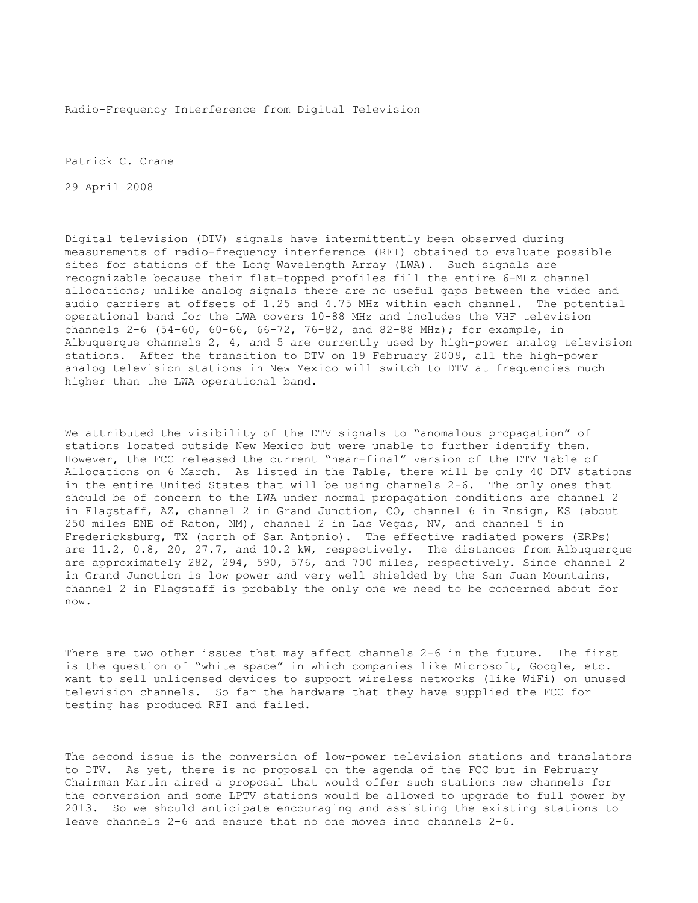Radio-Frequency Interference from Digital Television

Patrick C. Crane

29 April 2008

Digital television (DTV) signals have intermittently been observed during measurements of radio-frequency interference (RFI) obtained to evaluate possible sites for stations of the Long Wavelength Array (LWA). Such signals are recognizable because their flat-topped profiles fill the entire 6-MHz channel allocations; unlike analog signals there are no useful gaps between the video and audio carriers at offsets of 1.25 and 4.75 MHz within each channel. The potential operational band for the LWA covers 10-88 MHz and includes the VHF television channels 2-6 (54-60, 60-66, 66-72, 76-82, and 82-88 MHz); for example, in Albuquerque channels 2, 4, and 5 are currently used by high-power analog television stations. After the transition to DTV on 19 February 2009, all the high-power analog television stations in New Mexico will switch to DTV at frequencies much higher than the LWA operational band.

We attributed the visibility of the DTV signals to "anomalous propagation" of stations located outside New Mexico but were unable to further identify them. However, the FCC released the current "near-final" version of the DTV Table of Allocations on 6 March. As listed in the Table, there will be only 40 DTV stations in the entire United States that will be using channels 2-6. The only ones that should be of concern to the LWA under normal propagation conditions are channel 2 in Flagstaff, AZ, channel 2 in Grand Junction, CO, channel 6 in Ensign, KS (about 250 miles ENE of Raton, NM), channel 2 in Las Vegas, NV, and channel 5 in Fredericksburg, TX (north of San Antonio). The effective radiated powers (ERPs) are 11.2, 0.8, 20, 27.7, and 10.2 kW, respectively. The distances from Albuquerque are approximately 282, 294, 590, 576, and 700 miles, respectively. Since channel 2 in Grand Junction is low power and very well shielded by the San Juan Mountains, channel 2 in Flagstaff is probably the only one we need to be concerned about for now.

There are two other issues that may affect channels 2-6 in the future. The first is the question of "white space" in which companies like Microsoft, Google, etc. want to sell unlicensed devices to support wireless networks (like WiFi) on unused television channels. So far the hardware that they have supplied the FCC for testing has produced RFI and failed.

The second issue is the conversion of low-power television stations and translators to DTV. As yet, there is no proposal on the agenda of the FCC but in February Chairman Martin aired a proposal that would offer such stations new channels for the conversion and some LPTV stations would be allowed to upgrade to full power by 2013. So we should anticipate encouraging and assisting the existing stations to leave channels 2-6 and ensure that no one moves into channels 2-6.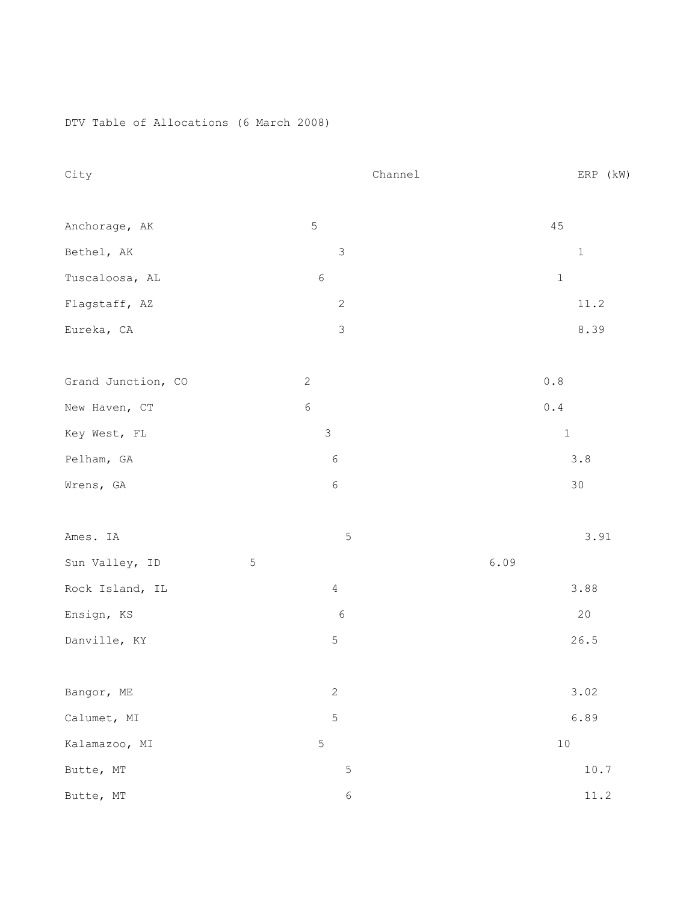DTV Table of Allocations (6 March 2008)

| City               | Channel        | ERP (kW)                                              |
|--------------------|----------------|-------------------------------------------------------|
|                    |                |                                                       |
| Anchorage, AK      | $\mathsf S$    | 45                                                    |
| Bethel, AK         | $\mathfrak{Z}$ | $\mathbf 1$                                           |
| Tuscaloosa, AL     | $\epsilon$     | $\,1\,$                                               |
| Flagstaff, AZ      | $\sqrt{2}$     | 11.2                                                  |
| Eureka, CA         | $\mathsf 3$    | 8.39                                                  |
| Grand Junction, CO | $\sqrt{2}$     | $\ensuremath{\mathbf{0}}$ . $\ensuremath{\mathbf{8}}$ |
| New Haven, CT      | $\epsilon$     | $\ensuremath{0}$ . $\ensuremath{4}$                   |
| Key West, FL       | $\mathfrak{Z}$ | $\,1\,$                                               |
| Pelham, GA         | $\epsilon$     | $3.8\,$                                               |
| Wrens, GA          | $\epsilon$     | $30$                                                  |
| Ames. IA           | 5              | 3.91                                                  |
| Sun Valley, ID     | $\mathsf S$    | 6.09                                                  |
| Rock Island, IL    | $\overline{4}$ | 3.88                                                  |
| Ensign, KS         | $\epsilon$     | $20$                                                  |
| Danville, KY       | $\mathbf 5$    | 26.5                                                  |
| Bangor, ME         | $\sqrt{2}$     | 3.02                                                  |
| Calumet, MI        | $\mathbf 5$    | 6.89                                                  |
| Kalamazoo, MI      | $\mathsf S$    | $10$                                                  |
| Butte, MT          | $\mathsf S$    | 10.7                                                  |
| Butte, MT          | 6              | 11.2                                                  |